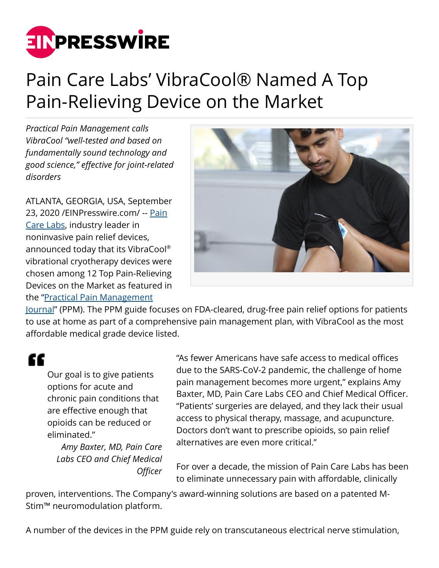

## Pain Care Labs' VibraCool® Named A Top Pain-Relieving Device on the Market

*Practical Pain Management calls VibraCool "well-tested and based on fundamentally sound technology and good science," effective for joint-related disorders*

ATLANTA, GEORGIA, USA, September 23, 2020 /[EINPresswire.com/](http://www.einpresswire.com) -- [Pain](https://hubs.ly/H0wJX_B0) [Care Labs,](https://hubs.ly/H0wJX_B0) industry leader in noninvasive pain relief devices, announced today that its VibraCool® vibrational cryotherapy devices were chosen among 12 Top Pain-Relieving Devices on the Market as featured in the "[Practical Pain Management](https://www.practicalpainmanagement.com/patient/Top-Pain-Devices-on-Market-2020)



[Journal"](https://www.practicalpainmanagement.com/patient/Top-Pain-Devices-on-Market-2020) (PPM). The PPM guide focuses on FDA-cleared, drug-free pain relief options for patients to use at home as part of a comprehensive pain management plan, with VibraCool as the most affordable medical grade device listed.

## "

Our goal is to give patients options for acute and chronic pain conditions that are effective enough that opioids can be reduced or eliminated."

*Amy Baxter, MD, Pain Care Labs CEO and Chief Medical Officer*

"As fewer Americans have safe access to medical offices due to the SARS-CoV-2 pandemic, the challenge of home pain management becomes more urgent," explains Amy Baxter, MD, Pain Care Labs CEO and Chief Medical Officer. "Patients' surgeries are delayed, and they lack their usual access to physical therapy, massage, and acupuncture. Doctors don't want to prescribe opioids, so pain relief alternatives are even more critical."

For over a decade, the mission of Pain Care Labs has been to eliminate unnecessary pain with affordable, clinically

proven, interventions. The Company's award-winning solutions are based on a patented M-Stim™ neuromodulation platform.

A number of the devices in the PPM guide rely on transcutaneous electrical nerve stimulation,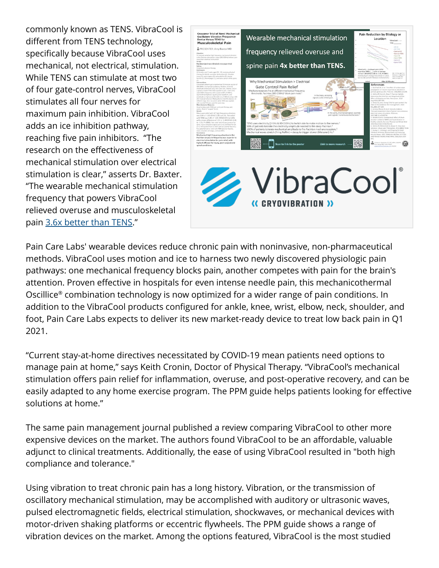commonly known as TENS. VibraCool is different from TENS technology, specifically because VibraCool uses mechanical, not electrical, stimulation. While TENS can stimulate at most two of four gate-control nerves, VibraCool stimulates all four nerves for maximum pain inhibition. VibraCool adds an ice inhibition pathway, reaching five pain inhibitors. "The research on the effectiveness of mechanical stimulation over electrical stimulation is clear," asserts Dr. Baxter. "The wearable mechanical stimulation frequency that powers VibraCool relieved overuse and musculoskeletal pain [3.6x better than TENS.](https://hubs.ly/H0wKHLf0)"



Pain Care Labs' wearable devices reduce chronic pain with noninvasive, non-pharmaceutical methods. VibraCool uses motion and ice to harness two newly discovered physiologic pain pathways: one mechanical frequency blocks pain, another competes with pain for the brain's attention. Proven effective in hospitals for even intense needle pain, this mechanicothermal Oscillice® combination technology is now optimized for a wider range of pain conditions. In addition to the VibraCool products configured for ankle, knee, wrist, elbow, neck, shoulder, and foot, Pain Care Labs expects to deliver its new market-ready device to treat low back pain in Q1 2021.

"Current stay-at-home directives necessitated by COVID-19 mean patients need options to manage pain at home," says Keith Cronin, Doctor of Physical Therapy. "VibraCool's mechanical stimulation offers pain relief for inflammation, overuse, and post-operative recovery, and can be easily adapted to any home exercise program. The PPM guide helps patients looking for effective solutions at home."

The same pain management journal published a review comparing VibraCool to other more expensive devices on the market. The authors found VibraCool to be an affordable, valuable adjunct to clinical treatments. Additionally, the ease of using VibraCool resulted in "both high compliance and tolerance."

Using vibration to treat chronic pain has a long history. Vibration, or the transmission of oscillatory mechanical stimulation, may be accomplished with auditory or ultrasonic waves, pulsed electromagnetic fields, electrical stimulation, shockwaves, or mechanical devices with motor-driven shaking platforms or eccentric flywheels. The PPM guide shows a range of vibration devices on the market. Among the options featured, VibraCool is the most studied